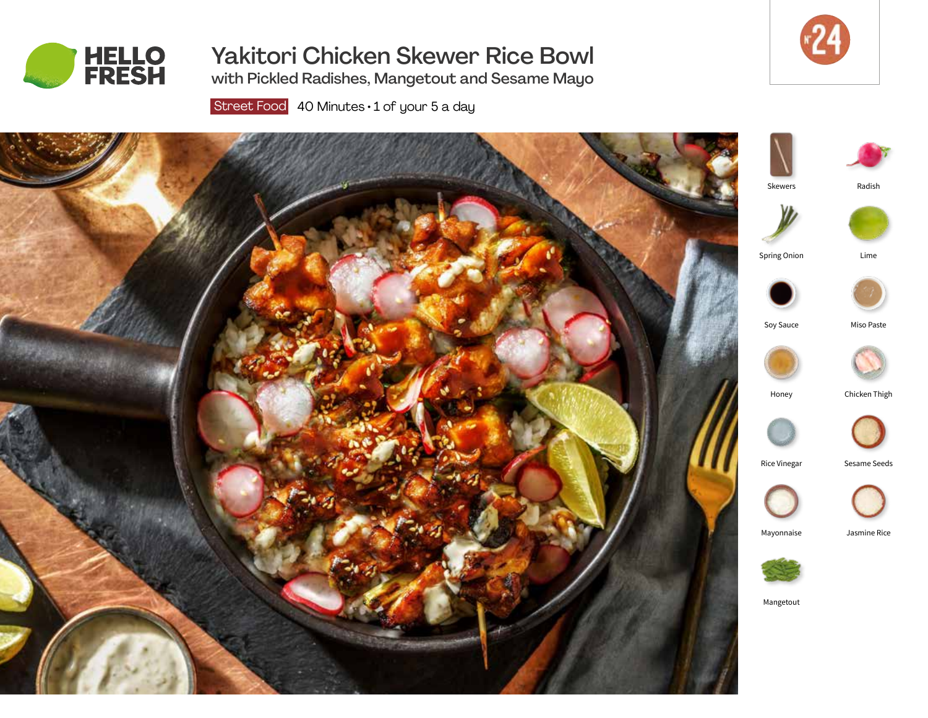

# Yakitori Chicken Skewer Rice Bowl



with Pickled Radishes, Mangetout and Sesame Mayo

Street Food 40 Minutes · 1 of your 5 a day